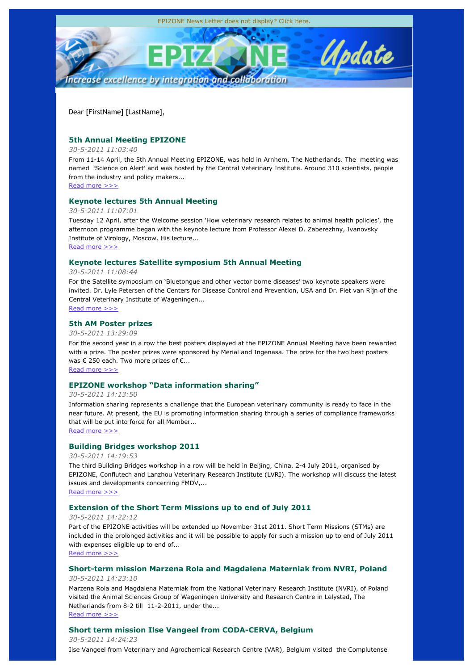

Dear [FirstName] [LastName],

# **5th Annual Meeting EPIZONE**

### *30-5-2011 11:03:40*

From 11-14 April, the 5th Annual Meeting EPIZONE, was held in Arnhem, The Netherlands. The meeting was named 'Science on Alert' and was hosted by the Central Veterinary Institute. Around 310 scientists, people from the industry and policy makers...

Read more >>>

# **Keynote lectures 5th Annual Meeting**

## *30-5-2011 11:07:01*

Tuesday 12 April, after the Welcome session 'How veterinary research relates to animal health policies', the afternoon programme began with the keynote lecture from Professor Alexei D. Zaberezhny, Ivanovsky Institute of Virology, Moscow. His lecture...

Read more >>>

# **Keynote lectures Satellite symposium 5th Annual Meeting**

### *30-5-2011 11:08:44*

For the Satellite symposium on 'Bluetongue and other vector borne diseases' two keynote speakers were invited. Dr. Lyle Petersen of the Centers for Disease Control and Prevention, USA and Dr. Piet van Rijn of the Central Veterinary Institute of Wageningen... Read more >>>

## **5th AM Poster prizes**

### *30-5-2011 13:29:09*

For the second year in a row the best posters displayed at the EPIZONE Annual Meeting have been rewarded with a prize. The poster prizes were sponsored by Merial and Ingenasa. The prize for the two best posters was  $\epsilon$  250 each. Two more prizes of  $\epsilon$ ...

Read more >>>

# **EPIZONE workshop "Data information sharing"**

### *30-5-2011 14:13:50*

Information sharing represents a challenge that the European veterinary community is ready to face in the near future. At present, the EU is promoting information sharing through a series of compliance frameworks that will be put into force for all Member...

Read more >>>

# **Building Bridges workshop 2011**

### *30-5-2011 14:19:53*

The third Building Bridges workshop in a row will be held in Beijing, China, 2-4 July 2011, organised by EPIZONE, Conflutech and Lanzhou Veterinary Research Institute (LVRI). The workshop will discuss the latest issues and developments concerning FMDV,...

Read more >>>

# **Extension of the Short Term Missions up to end of July 2011**

### *30-5-2011 14:22:12*

Part of the EPIZONE activities will be extended up November 31st 2011. Short Term Missions (STMs) are included in the prolonged activities and it will be possible to apply for such a mission up to end of July 2011 with expenses eligible up to end of...

Read more >>>

## **Short-term mission Marzena Rola and Magdalena Materniak from NVRI, Poland**

# *30-5-2011 14:23:10*

Marzena Rola and Magdalena Materniak from the National Veterinary Research Institute (NVRI), of Poland visited the Animal Sciences Group of Wageningen University and Research Centre in Lelystad, The Netherlands from 8-2 till 11-2-2011, under the... Read more >>>

# **Short term mission Ilse Vangeel from CODA-CERVA, Belgium**

*30-5-2011 14:24:23*

Ilse Vangeel from Veterinary and Agrochemical Research Centre (VAR), Belgium visited the Complutense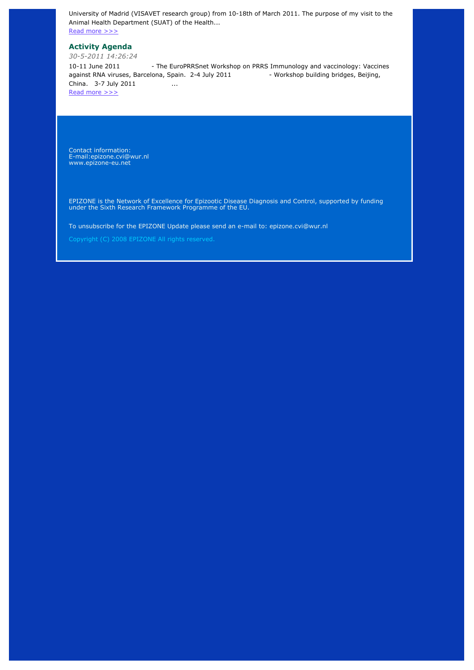University of Madrid (VISAVET research group) from 10-18th of March 2011. The purpose of my visit to the Animal Health Department (SUAT) of the Health...

Read more >>>

# **Activity Agenda**

*30-5-2011 14:26:24*

10-11 June 2011 - The EuroPRRSnet Workshop on PRRS Immunology and vaccinology: Vaccines against RNA viruses, Barcelona, Spain. 2-4 July 2011 - Workshop building bridges, Beijing, China. 3-7 July 2011 ... Read more >>>

Contact information: E-mail:epizone.cvi@wur.nl www.epizone-eu.net

EPIZONE is the Network of Excellence for Epizootic Disease Diagnosis and Control, supported by funding under the Sixth Research Framework Programme of the EU.

To unsubscribe for the EPIZONE Update please send an e-mail to: epizone.cvi@wur.nl

Copyright (C) 2008 EPIZONE All rights reserved.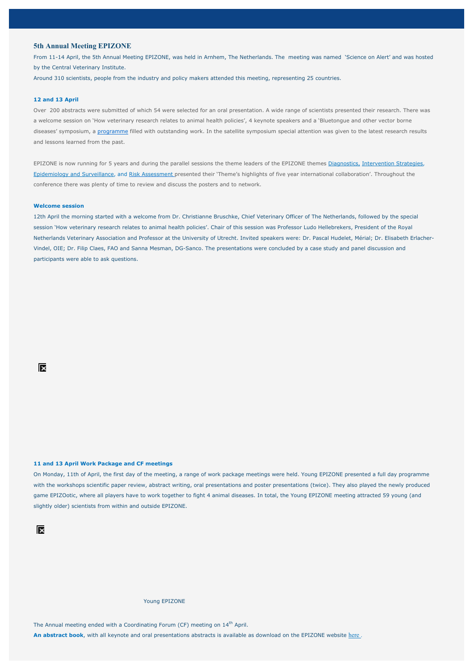#### **5th Annual Meeting EPIZONE**

From 11-14 April, the 5th Annual Meeting EPIZONE, was held in Arnhem, The Netherlands. The meeting was named 'Science on Alert' and was hosted by the Central Veterinary Institute.

Around 310 scientists, people from the industry and policy makers attended this meeting, representing 25 countries.

#### **12 and 13 April**

Over 200 abstracts were submitted of which 54 were selected for an oral presentation. A wide range of scientists presented their research. There was a welcome session on 'How veterinary research relates to animal health policies', 4 keynote speakers and a 'Bluetongue and other vector borne diseases' symposium, a programme filled with outstanding work. In the satellite symposium special attention was given to the latest research results and lessons learned from the past.

EPIZONE is now running for 5 years and during the parallel sessions the theme leaders of the EPIZONE themes Diagnostics, Intervention Strategies, Epidemiology and Surveillance, and Risk Assessment presented their 'Theme's highlights of five year international collaboration'. Throughout the conference there was plenty of time to review and discuss the posters and to network.

#### **Welcome session**

12th April the morning started with a welcome from Dr. Christianne Bruschke, Chief Veterinary Officer of The Netherlands, followed by the special session 'How veterinary research relates to animal health policies'. Chair of this session was Professor Ludo Hellebrekers, President of the Royal Netherlands Veterinary Association and Professor at the University of Utrecht. Invited speakers were: Dr. Pascal Hudelet, Mérial; Dr. Elisabeth Erlacher-Vindel, OIE; Dr. Filip Claes, FAO and Sanna Mesman, DG-Sanco. The presentations were concluded by a case study and panel discussion and participants were able to ask questions.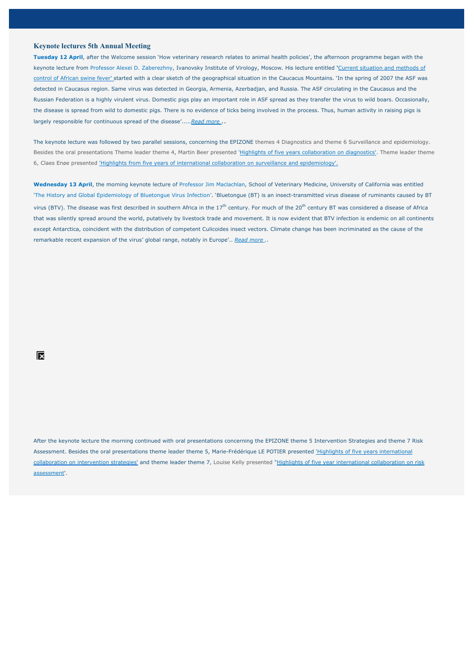### **Keynote lectures 5th Annual Meeting**

**Tuesday 12 April**, after the Welcome session 'How veterinary research relates to animal health policies', the afternoon programme began with the keynote lecture from Professor Alexei D. Zaberezhny, Ivanovsky Institute of Virology, Moscow. His lecture entitled **'**Current situation and methods of control of African swine fever' started with a clear sketch of the geographical situation in the Caucacus Mountains. 'In the spring of 2007 the ASF was detected in Caucasus region. Same virus was detected in Georgia, Armenia, Azerbadjan, and Russia. The ASF circulating in the Caucasus and the Russian Federation is a highly virulent virus. Domestic pigs play an important role in ASF spread as they transfer the virus to wild boars. Occasionally, the disease is spread from wild to domestic pigs. There is no evidence of ticks being involved in the process. Thus, human activity in raising pigs is largely responsible for continuous spread of the disease'.....*Read more* ..

The keynote lecture was followed by two parallel sessions, concerning the EPIZONE themes 4 Diagnostics and theme 6 Surveillance and epidemiology. Besides the oral presentations Theme leader theme 4, Martin Beer presented 'Highlights of five years collaboration on diagnostics'. Theme leader theme 6, Claes Enøe presented 'Highlights from five years of international collaboration on surveillance and epidemiology'.

**Wednesday 13 April**, the morning keynote lecture of Professor Jim Maclachlan, School of Veterinary Medicine, University of California was entitled 'The History and Global Epidemiology of Bluetongue Virus Infection'. 'Bluetongue (BT) is an insect-transmitted virus disease of ruminants caused by BT virus (BTV). The disease was first described in southern Africa in the 17<sup>th</sup> century. For much of the 20<sup>th</sup> century BT was considered a disease of Africa that was silently spread around the world, putatively by livestock trade and movement. It is now evident that BTV infection is endemic on all continents except Antarctica, coincident with the distribution of competent Culicoides insect vectors. Climate change has been incriminated as the cause of the remarkable recent expansion of the virus' global range, notably in Europe'.. *Read more ..*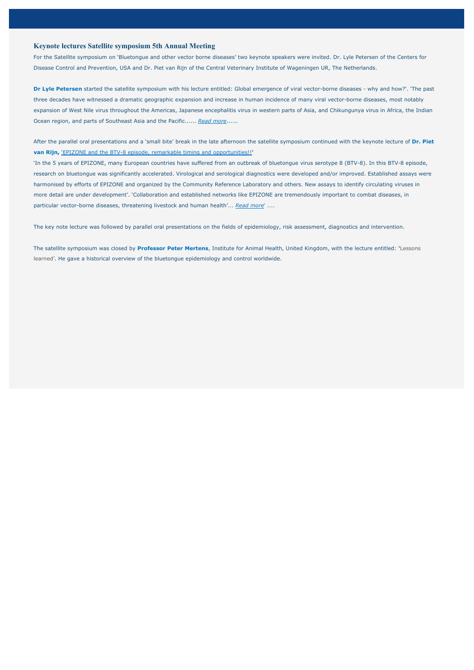### **Keynote lectures Satellite symposium 5th Annual Meeting**

For the Satellite symposium on 'Bluetongue and other vector borne diseases' two keynote speakers were invited. Dr. Lyle Petersen of the Centers for Disease Control and Prevention, USA and Dr. Piet van Rijn of the Central Veterinary Institute of Wageningen UR, The Netherlands.

**Dr Lyle Petersen** started the satellite symposium with his lecture entitled: Global emergence of viral vector-borne diseases - why and how?'. 'The past three decades have witnessed a dramatic geographic expansion and increase in human incidence of many viral vector-borne diseases, most notably expansion of West Nile virus throughout the Americas, Japanese encephalitis virus in western parts of Asia, and Chikungunya virus in Africa, the Indian Ocean region, and parts of Southeast Asia and the Pacific...... *Read more*......

After the parallel oral presentations and a 'small bite' break in the late afternoon the satellite symposium continued with the keynote lecture of **Dr. Piet van Rijn,** 'EPIZONE and the BTV-8 episode, remarkable timing and opportunities!!**'**

'In the 5 years of EPIZONE, many European countries have suffered from an outbreak of bluetongue virus serotype 8 (BTV-8). In this BTV-8 episode, research on bluetongue was significantly accelerated. Virological and serological diagnostics were developed and/or improved. Established assays were harmonised by efforts of EPIZONE and organized by the Community Reference Laboratory and others. New assays to identify circulating viruses in more detail are under development'. 'Collaboration and established networks like EPIZONE are tremendously important to combat diseases, in particular vector-borne diseases, threatening livestock and human health'... *Read more*' ....

The key note lecture was followed by parallel oral presentations on the fields of epidemiology, risk assessment, diagnostics and intervention.

The satellite symposium was closed by **Professor Peter Mertens**, Institute for Animal Health, United Kingdom, with the lecture entitled: **'**Lessons learned'. He gave a historical overview of the bluetongue epidemiology and control worldwide.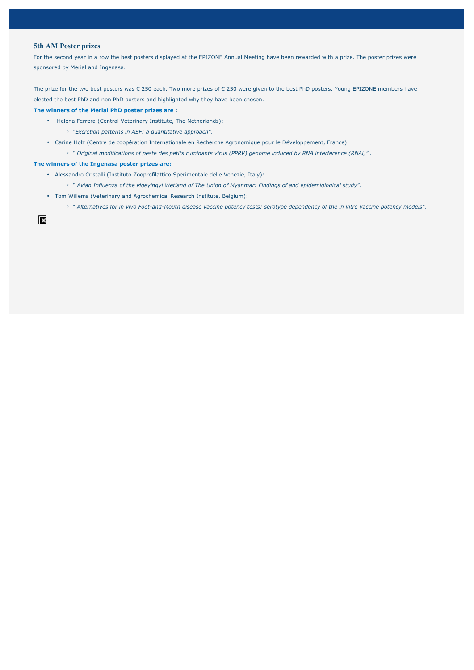## **5th AM Poster prizes**

For the second year in a row the best posters displayed at the EPIZONE Annual Meeting have been rewarded with a prize. The poster prizes were sponsored by Merial and Ingenasa.

The prize for the two best posters was € 250 each. Two more prizes of € 250 were given to the best PhD posters. Young EPIZONE members have elected the best PhD and non PhD posters and highlighted why they have been chosen.

#### **The winners of the Merial PhD poster prizes are :**

- Helena Ferrera (Central Veterinary Institute, The Netherlands):
	- *"Excretion patterns in ASF: a quantitative approach".*
- Carine Holz (Centre de coopération Internationale en Recherche Agronomique pour le Développement, France):
	- *" Original modifications of peste des petits ruminants virus (PPRV) genome induced by RNA interference (RNAi)" .*

#### **The winners of the Ingenasa poster prizes are:**

- Alessandro Cristalli (Instituto Zooprofilattico Sperimentale delle Venezie, Italy):
	- *" Avian Influenza of the Moeyingyi Wetland of The Union of Myanmar: Findings of and epidemiological study*".
- Tom Willems (Veterinary and Agrochemical Research Institute, Belgium):
	- " *Alternatives for in vivo Foot-and-Mouth disease vaccine potency tests: serotype dependency of the in vitro vaccine potency models".*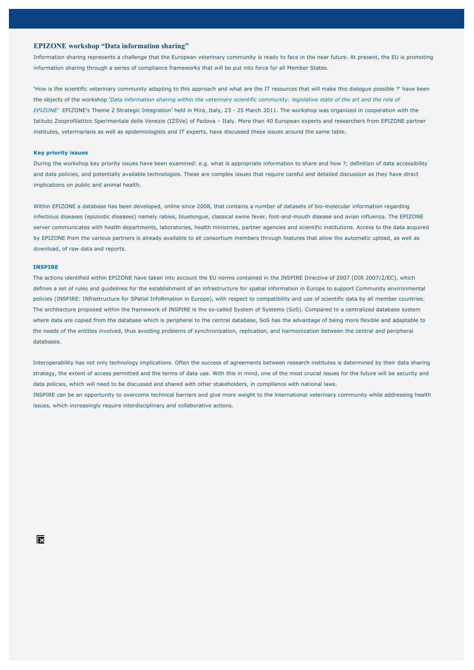### **EPIZONE workshop "Data information sharing"**

Information sharing represents a challenge that the European veterinary community is ready to face in the near future. At present, the EU is promoting information sharing through a series of compliance frameworks that will be put into force for all Member States.

'How is the scientific veterinary community adapting to this approach and what are the IT resources that will make this dialogue possible ?' have been the objects of the workshop *'Data information sharing within the veterinary scientific community: legislative state of the art and the role of EPIZONE'* EPIZONE's Theme 2 Strategic Integration' held in Mira, Italy, 23 - 25 March 2011. The workshop was organized in cooperation with the Istituto Zooprofilattico Sperimentale delle Venezie (IZSVe) of Padova – Italy. More than 40 European experts and researchers from EPIZONE partner institutes, veterinarians as well as epidemiologists and IT experts, have discussed these issues around the same table.

#### **Key priority issues**

During the workshop key priority issues have been examined: e.g. what is appropriate information to share and how ?; definition of data accessibility and data policies, and potentially available technologies. These are complex issues that require careful and detailed discussion as they have direct implications on public and animal health.

Within EPIZONE a database has been developed, online since 2008, that contains a number of datasets of bio-molecular information regarding infectious diseases (epizootic diseases) namely rabies, bluetongue, classical swine fever, foot-and-mouth disease and avian influenza. The EPIZONE server communicates with health departments, laboratories, health ministries, partner agencies and scientific institutions. Access to the data acquired by EPIZONE from the various partners is already available to all consortium members through features that allow the automatic upload, as well as download, of raw data and reports.

#### **INSPIRE**

The actions identified within EPIZONE have taken into account the EU norms contained in the INSPIRE Directive of 2007 (DIR 2007/2/EC), which defines a set of rules and guidelines for the establishment of an infrastructure for spatial information in Europe to support Community environmental policies (INSPIRE: INfrastructure for SPatial InfoRmation in Europe), with respect to compatibility and use of scientific data by all member countries. The architecture proposed within the framework of INSPIRE is the so-called System of Systems (SoS). Compared to a centralized database system where data are copied from the database which is peripheral to the central database, SoS has the advantage of being more flexible and adaptable to the needs of the entities involved, thus avoiding problems of synchronization, replication, and harmonization between the central and peripheral databases.

Interoperability has not only technology implications. Often the success of agreements between research institutes is determined by their data sharing strategy, the extent of access permitted and the terms of data use. With this in mind, one of the most crucial issues for the future will be security and data policies, which will need to be discussed and shared with other stakeholders, in compliance with national laws. INSPIRE can be an opportunity to overcome technical barriers and give more weight to the international veterinary community while addressing health issues, which increasingly require interdisciplinary and collaborative actions.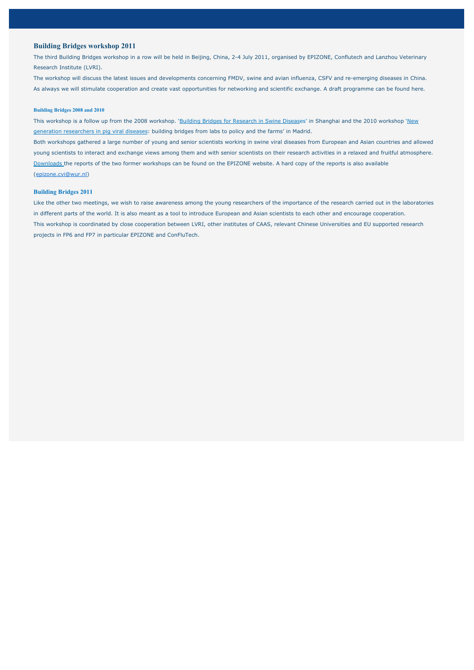### **Building Bridges workshop 2011**

The third Building Bridges workshop in a row will be held in Beijing, China, 2-4 July 2011, organised by EPIZONE, Conflutech and Lanzhou Veterinary Research Institute (LVRI).

The workshop will discuss the latest issues and developments concerning FMDV, swine and avian influenza, CSFV and re-emerging diseases in China. As always we will stimulate cooperation and create vast opportunities for networking and scientific exchange. A draft programme can be found here.

#### **Building Bridges 2008 and 2010**

This workshop is a follow up from the 2008 workshop. 'Building Bridges for Research in Swine Diseases' in Shanghai and the 2010 workshop 'New generation researchers in pig viral diseases: building bridges from labs to policy and the farms' in Madrid. Both workshops gathered a large number of young and senior scientists working in swine viral diseases from European and Asian countries and allowed

young scientists to interact and exchange views among them and with senior scientists on their research activities in a relaxed and fruitful atmosphere. Downloads the reports of the two former workshops can be found on the EPIZONE website. A hard copy of the reports is also available

(epizone.cvi@wur.nl)

#### **Building Bridges 2011**

Like the other two meetings, we wish to raise awareness among the young researchers of the importance of the research carried out in the laboratories in different parts of the world. It is also meant as a tool to introduce European and Asian scientists to each other and encourage cooperation. This workshop is coordinated by close cooperation between LVRI, other institutes of CAAS, relevant Chinese Universities and EU supported research projects in FP6 and FP7 in particular EPIZONE and ConFluTech.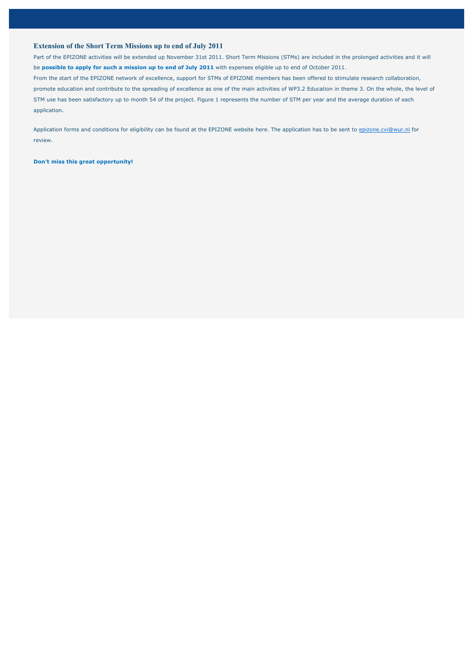### **Extension of the Short Term Missions up to end of July 2011**

Part of the EPIZONE activities will be extended up November 31st 2011. Short Term Missions (STMs) are included in the prolonged activities and it will be **possible to apply for such a mission up to end of July 2011** with expenses eligible up to end of October 2011. From the start of the EPIZONE network of excellence, support for STMs of EPIZONE members has been offered to stimulate research collaboration, promote education and contribute to the spreading of excellence as one of the main activities of WP3.2 Education in theme 3. On the whole, the level of STM use has been satisfactory up to month 54 of the project. Figure 1 represents the number of STM per year and the average duration of each application.

Application forms and conditions for eligibility can be found at the EPIZONE website here. The application has to be sent to epizone.cvi@wur.nl for review.

**Don't miss this great opportunity!**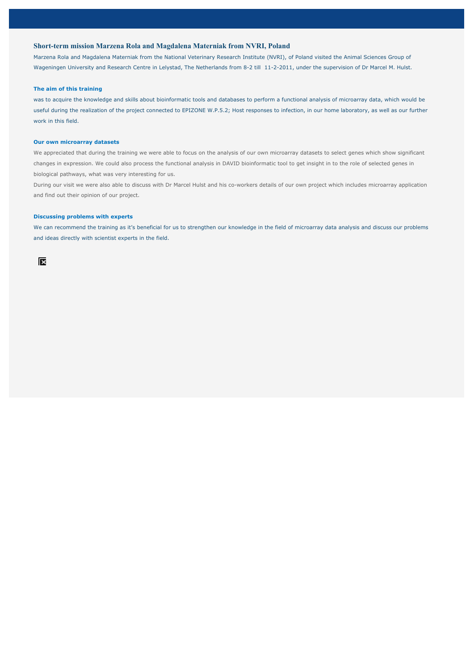### **Short-term mission Marzena Rola and Magdalena Materniak from NVRI, Poland**

Marzena Rola and Magdalena Materniak from the National Veterinary Research Institute (NVRI), of Poland visited the Animal Sciences Group of Wageningen University and Research Centre in Lelystad, The Netherlands from 8-2 till 11-2-2011, under the supervision of Dr Marcel M. Hulst.

#### **The aim of this training**

was to acquire the knowledge and skills about bioinformatic tools and databases to perform a functional analysis of microarray data, which would be useful during the realization of the project connected to EPIZONE W.P.5.2; Host responses to infection, in our home laboratory, as well as our further work in this field.

#### **Our own microarray datasets**

We appreciated that during the training we were able to focus on the analysis of our own microarray datasets to select genes which show significant changes in expression. We could also process the functional analysis in DAVID bioinformatic tool to get insight in to the role of selected genes in biological pathways, what was very interesting for us.

During our visit we were also able to discuss with Dr Marcel Hulst and his co-workers details of our own project which includes microarray application and find out their opinion of our project.

#### **Discussing problems with experts**

We can recommend the training as it's beneficial for us to strengthen our knowledge in the field of microarray data analysis and discuss our problems and ideas directly with scientist experts in the field.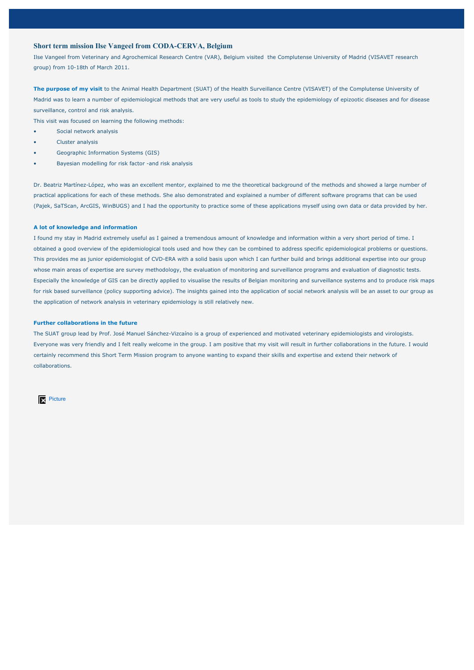### **Short term mission Ilse Vangeel from CODA-CERVA, Belgium**

Ilse Vangeel from Veterinary and Agrochemical Research Centre (VAR), Belgium visited the Complutense University of Madrid (VISAVET research group) from 10-18th of March 2011.

**The purpose of my visit** to the Animal Health Department (SUAT) of the Health Surveillance Centre (VISAVET) of the Complutense University of Madrid was to learn a number of epidemiological methods that are very useful as tools to study the epidemiology of epizootic diseases and for disease surveillance, control and risk analysis.

This visit was focused on learning the following methods:

- Social network analysis
- Cluster analysis
- Geographic Information Systems (GIS)
- Bayesian modelling for risk factor -and risk analysis

Dr. Beatriz Martínez-López, who was an excellent mentor, explained to me the theoretical background of the methods and showed a large number of practical applications for each of these methods. She also demonstrated and explained a number of different software programs that can be used (Pajek, SaTScan, ArcGIS, WinBUGS) and I had the opportunity to practice some of these applications myself using own data or data provided by her.

#### **A lot of knowledge and information**

I found my stay in Madrid extremely useful as I gained a tremendous amount of knowledge and information within a very short period of time. I obtained a good overview of the epidemiological tools used and how they can be combined to address specific epidemiological problems or questions. This provides me as junior epidemiologist of CVD-ERA with a solid basis upon which I can further build and brings additional expertise into our group whose main areas of expertise are survey methodology, the evaluation of monitoring and surveillance programs and evaluation of diagnostic tests. Especially the knowledge of GIS can be directly applied to visualise the results of Belgian monitoring and surveillance systems and to produce risk maps for risk based surveillance (policy supporting advice). The insights gained into the application of social network analysis will be an asset to our group as the application of network analysis in veterinary epidemiology is still relatively new.

#### **Further collaborations in the future**

The SUAT group lead by Prof. José Manuel Sánchez-Vizcaíno is a group of experienced and motivated veterinary epidemiologists and virologists. Everyone was very friendly and I felt really welcome in the group. I am positive that my visit will result in further collaborations in the future. I would certainly recommend this Short Term Mission program to anyone wanting to expand their skills and expertise and extend their network of collaborations.